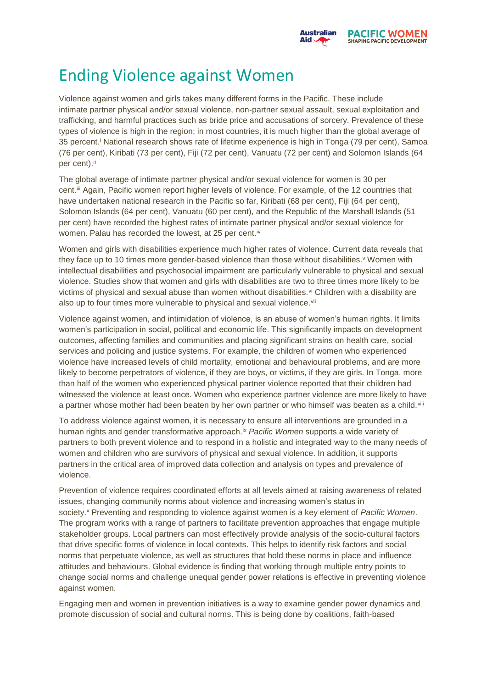

## Ending Violence against Women

Violence against women and girls takes many different forms in the Pacific. These include intimate partner physical and/or sexual violence, non-partner sexual assault, sexual exploitation and trafficking, and harmful practices such as bride price and accusations of sorcery. Prevalence of these types of violence is high in the region; in most countries, it is much higher than the global average of 35 percent.<sup>i</sup> National research shows rate of lifetime experience is high in Tonga (79 per cent), Samoa (76 per cent), Kiribati (73 per cent), Fiji (72 per cent), Vanuatu (72 per cent) and Solomon Islands (64 per cent).<sup>ii</sup>

The global average of intimate partner physical and/or sexual violence for women is 30 per cent.iii Again, Pacific women report higher levels of violence. For example, of the 12 countries that have undertaken national research in the Pacific so far, Kiribati (68 per cent), Fiji (64 per cent), Solomon Islands (64 per cent), Vanuatu (60 per cent), and the Republic of the Marshall Islands (51 per cent) have recorded the highest rates of intimate partner physical and/or sexual violence for women. Palau has recorded the lowest, at 25 per cent.<sup>iv</sup>

Women and girls with disabilities experience much higher rates of violence. Current data reveals that they face up to 10 times more gender-based violence than those without disabilities.<sup>v</sup> Women with intellectual disabilities and psychosocial impairment are particularly vulnerable to physical and sexual violence. Studies show that women and girls with disabilities are two to three times more likely to be victims of physical and sexual abuse than women without disabilities. vi Children with a disability are also up to four times more vulnerable to physical and sexual violence.<sup>vii</sup>

Violence against women, and intimidation of violence, is an abuse of women's human rights. It limits women's participation in social, political and economic life. This significantly impacts on development outcomes, affecting families and communities and placing significant strains on health care, social services and policing and justice systems. For example, the children of women who experienced violence have increased levels of child mortality, emotional and behavioural problems, and are more likely to become perpetrators of violence, if they are boys, or victims, if they are girls. In Tonga, more than half of the women who experienced physical partner violence reported that their children had witnessed the violence at least once. Women who experience partner violence are more likely to have a partner whose mother had been beaten by her own partner or who himself was beaten as a child.<sup>viii</sup>

To address violence against women, it is necessary to ensure all interventions are grounded in a human rights and gender transformative approach.ix *Pacific Women* supports a wide variety of partners to both prevent violence and to respond in a holistic and integrated way to the many needs of women and children who are survivors of physical and sexual violence. In addition, it supports partners in the critical area of improved data collection and analysis on types and prevalence of violence.

Prevention of violence requires coordinated efforts at all levels aimed at raising awareness of related issues, changing community norms about violence and increasing women's status in society.<sup>x</sup> Preventing and responding to violence against women is a key element of *Pacific Women*. The program works with a range of partners to facilitate prevention approaches that engage multiple stakeholder groups. Local partners can most effectively provide analysis of the socio-cultural factors that drive specific forms of violence in local contexts. This helps to identify risk factors and social norms that perpetuate violence, as well as structures that hold these norms in place and influence attitudes and behaviours. Global evidence is finding that working through multiple entry points to change social norms and challenge unequal gender power relations is effective in preventing violence against women.

Engaging men and women in prevention initiatives is a way to examine gender power dynamics and promote discussion of social and cultural norms. This is being done by coalitions, faith-based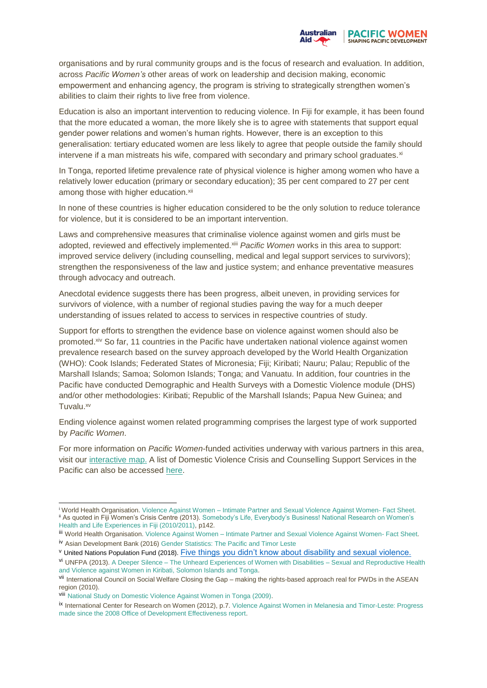

organisations and by rural community groups and is the focus of research and evaluation. In addition, across *Pacific Women's* other areas of work on leadership and decision making, economic empowerment and enhancing agency, the program is striving to strategically strengthen women's abilities to claim their rights to live free from violence.

Education is also an important intervention to reducing violence. In Fiji for example, it has been found that the more educated a woman, the more likely she is to agree with statements that support equal gender power relations and women's human rights. However, there is an exception to this generalisation: tertiary educated women are less likely to agree that people outside the family should intervene if a man mistreats his wife, compared with secondary and primary school graduates.xi

In Tonga, reported lifetime prevalence rate of physical violence is higher among women who have a relatively lower education (primary or secondary education); 35 per cent compared to 27 per cent among those with higher education.<sup>xii</sup>

In none of these countries is higher education considered to be the only solution to reduce tolerance for violence, but it is considered to be an important intervention.

Laws and comprehensive measures that criminalise violence against women and girls must be adopted, reviewed and effectively implemented.<sup>xiii</sup> *Pacific Women* works in this area to support: improved service delivery (including counselling, medical and legal support services to survivors); strengthen the responsiveness of the law and justice system; and enhance preventative measures through advocacy and outreach.

Anecdotal evidence suggests there has been progress, albeit uneven, in providing services for survivors of violence, with a number of regional studies paving the way for a much deeper understanding of issues related to access to services in respective countries of study.

Support for efforts to strengthen the evidence base on violence against women should also be promoted.xiv So far, 11 countries in the Pacific have undertaken national violence against women prevalence research based on the survey approach developed by the World Health Organization (WHO): Cook Islands; Federated States of Micronesia; Fiji; Kiribati; Nauru; Palau; Republic of the Marshall Islands; Samoa; Solomon Islands; Tonga; and Vanuatu. In addition, four countries in the Pacific have conducted Demographic and Health Surveys with a Domestic Violence module (DHS) and/or other methodologies: Kiribati; Republic of the Marshall Islands; Papua New Guinea; and Tuvalu.<sup>xv</sup>

Ending violence against women related programming comprises the largest type of work supported by *Pacific Women*.

For more information on *Pacific Women*-funded activities underway with various partners in this area, visit our [interactive map.](http://map.pacificwomen.org/) A list of Domestic Violence Crisis and Counselling Support Services in the Pacific can also be accessed [here.](https://pacificwomen.org/wp-content/uploads/2017/08/Crisis-Centers_Website_11August17_cleared.pdf)

1

<sup>i</sup> World Health Organisation. Violence Against Women – [Intimate Partner and Sexual Violence Against Women-](http://www.who.int/mediacentre/factsheets/fs239/en/) Fact Sheet. ii As quoted in Fiji Women's Crisis Centre (2013). [Somebody's Life, Everybody's Business! National Research on Women's](https://pacificwomen.org/wp-content/uploads/2017/09/FWCC-National-Research-on-Womens-Health-Fiji.pdf)  [Health and Life Experiences in Fiji \(2010/2011\),](https://pacificwomen.org/wp-content/uploads/2017/09/FWCC-National-Research-on-Womens-Health-Fiji.pdf) p142.

iii World Health Organisation. Violence Against Women - [Intimate Partner and Sexual Violence Against Women-](http://www.who.int/mediacentre/factsheets/fs239/en/) Fact Sheet. iv Asian Development Bank (2016) [Gender Statistics: The Pacific and Timor Leste](https://www.adb.org/sites/default/files/publication/181270/gender-statistics-pacific-tim.pdf)

<sup>v</sup> United Nations Population Fund (2018). [Five things you didn't know about disability and sexual violence.](https://www.unfpa.org/news/five-things-you-didnt-know-about-disability-and-sexual-violence)

vi UNFPA (2013). A Deeper Silence – [The Unheard Experiences of Women with Disabilities –](https://pacificwomen.org/resources/a-deeper-silence-the-unheard-experiences-of-women-with-disabilities-sexual-and-reproductive-health-and-violence-against-women-in-kiribati-solomon-islands-and-tonga) Sexual and Reproductive Health [and Violence against Women in Kiribati, Solomon Islands and Tonga.](https://pacificwomen.org/resources/a-deeper-silence-the-unheard-experiences-of-women-with-disabilities-sexual-and-reproductive-health-and-violence-against-women-in-kiribati-solomon-islands-and-tonga)

vii International Council on Social Welfare Closing the Gap – making the rights-based approach real for PWDs in the ASEAN region (2010).

viii [National Study on Domestic Violence Against Women in Tonga \(2009\).](http://countryoffice.unfpa.org/pacific/drive/tonga-vaw-report-final-2012.pdf)

ix International Center for Research on Women (2012), p.7. [Violence Against Women in Melanesia and Timor-Leste: Progress](https://www.icrw.org/publications/violence-against-women-in-melanesia-and-timor-leste)  [made since the 2008 Office of Development Effectiveness report.](https://www.icrw.org/publications/violence-against-women-in-melanesia-and-timor-leste)